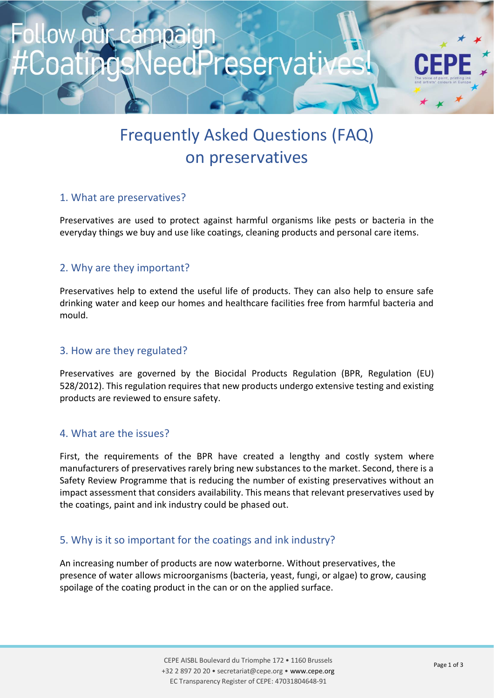# ampaigr edPreservative

# Frequently Asked Questions (FAQ) on preservatives

### 1. What are preservatives?

Preservatives are used to protect against harmful organisms like pests or bacteria in the everyday things we buy and use like coatings, cleaning products and personal care items.

#### 2. Why are they important?

Preservatives help to extend the useful life of products. They can also help to ensure safe drinking water and keep our homes and healthcare facilities free from harmful bacteria and mould.

#### 3. How are they regulated?

Preservatives are governed by the Biocidal Products Regulation (BPR, Regulation (EU) 528/2012). This regulation requires that new products undergo extensive testing and existing products are reviewed to ensure safety.

#### 4. What are the issues?

First, the requirements of the BPR have created a lengthy and costly system where manufacturers of preservatives rarely bring new substances to the market. Second, there is a Safety Review Programme that is reducing the number of existing preservatives without an impact assessment that considers availability. This means that relevant preservatives used by the coatings, paint and ink industry could be phased out.

### 5. Why is it so important for the coatings and ink industry?

An increasing number of products are now waterborne. Without preservatives, the presence of water allows microorganisms (bacteria, yeast, fungi, or algae) to grow, causing spoilage of the coating product in the can or on the applied surface.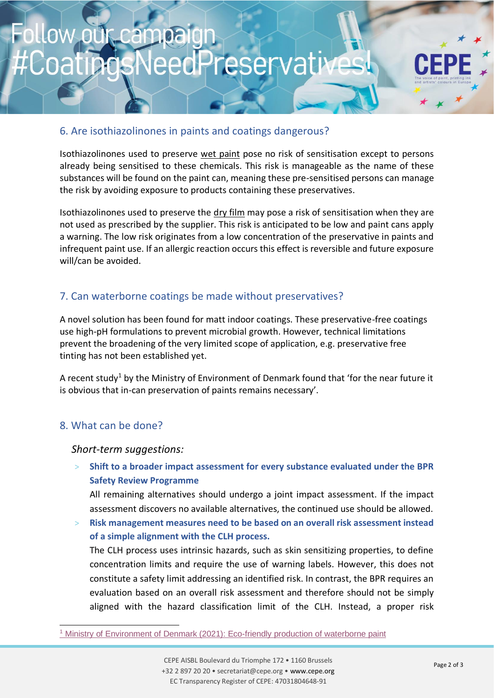### 6. Are isothiazolinones in paints and coatings dangerous?

Isothiazolinones used to preserve wet paint pose no risk of sensitisation except to persons already being sensitised to these chemicals. This risk is manageable as the name of these substances will be found on the paint can, meaning these pre-sensitised persons can manage the risk by avoiding exposure to products containing these preservatives.

Isothiazolinones used to preserve the dry film may pose a risk of sensitisation when they are not used as prescribed by the supplier. This risk is anticipated to be low and paint cans apply a warning. The low risk originates from a low concentration of the preservative in paints and infrequent paint use. If an allergic reaction occurs this effect is reversible and future exposure will/can be avoided.

## 7. Can waterborne coatings be made without preservatives?

A novel solution has been found for matt indoor coatings. These preservative-free coatings use high-pH formulations to prevent microbial growth. However, technical limitations prevent the broadening of the very limited scope of application, e.g. preservative free tinting has not been established yet.

A recent study<sup>1</sup> by the Ministry of Environment of Denmark found that 'for the near future it is obvious that in-can preservation of paints remains necessary'.

### 8. What can be done?

*Short-term suggestions:* 

> **Shift to a broader impact assessment for every substance evaluated under the BPR Safety Review Programme**

All remaining alternatives should undergo a joint impact assessment. If the impact assessment discovers no available alternatives, the continued use should be allowed.

> **Risk management measures need to be based on an overall risk assessment instead of a simple alignment with the CLH process.**

The CLH process uses intrinsic hazards, such as skin sensitizing properties, to define concentration limits and require the use of warning labels. However, this does not constitute a safety limit addressing an identified risk. In contrast, the BPR requires an evaluation based on an overall risk assessment and therefore should not be simply aligned with the hazard classification limit of the CLH. Instead, a proper risk

<sup>1</sup> [Ministry of Environment of Denmark \(2021\): Eco-friendly production of waterborne paint](https://www2.mst.dk/Udgiv/publications/2021/05/978-87-7038-302-8.pdf)